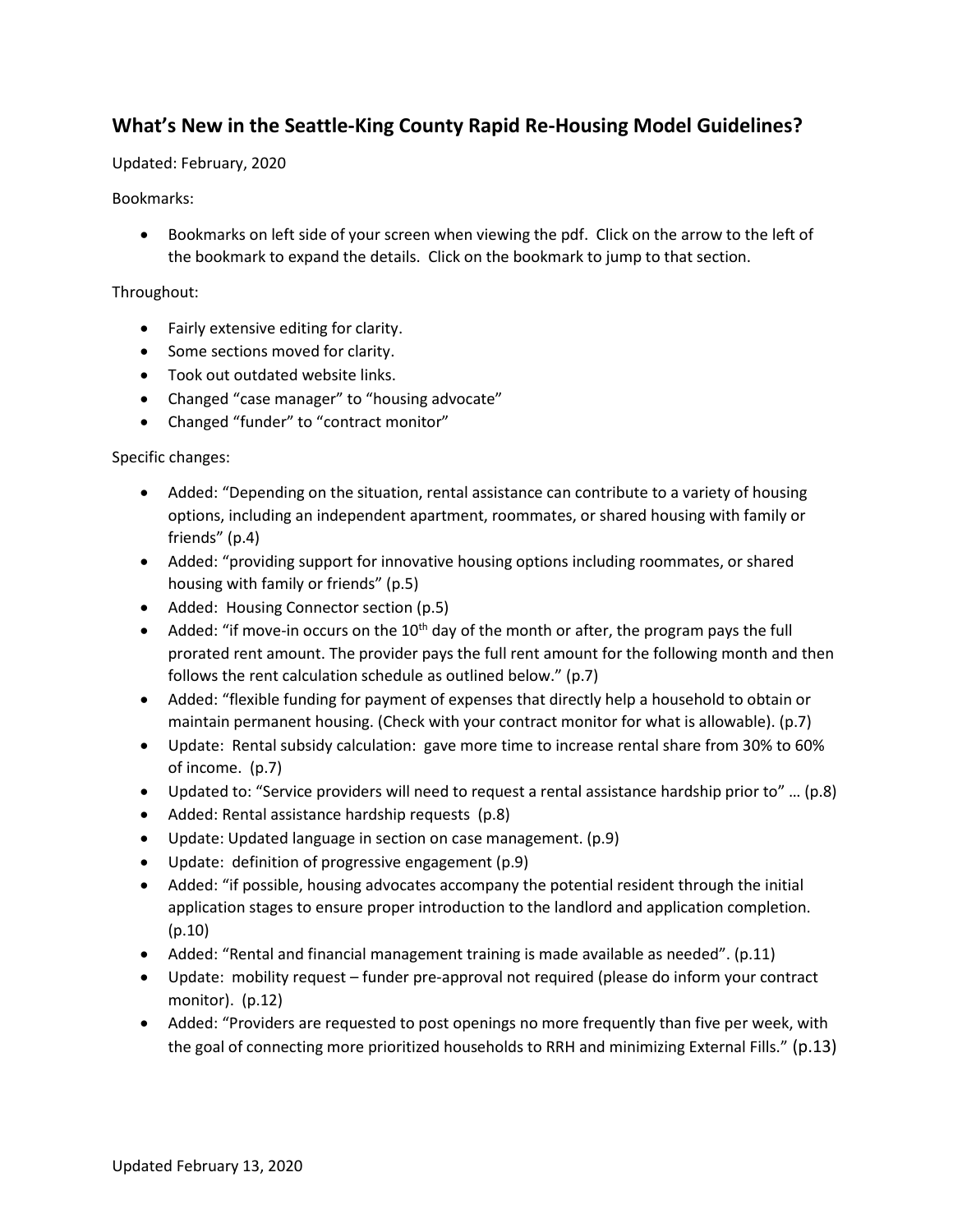## **What's New in the Seattle-King County Rapid Re-Housing Model Guidelines?**

Updated: February, 2020

## Bookmarks:

 Bookmarks on left side of your screen when viewing the pdf. Click on the arrow to the left of the bookmark to expand the details. Click on the bookmark to jump to that section.

## Throughout:

- Fairly extensive editing for clarity.
- Some sections moved for clarity.
- Took out outdated website links.
- Changed "case manager" to "housing advocate"
- Changed "funder" to "contract monitor"

## Specific changes:

- Added: "Depending on the situation, rental assistance can contribute to a variety of housing options, including an independent apartment, roommates, or shared housing with family or friends" (p.4)
- Added: "providing support for innovative housing options including roommates, or shared housing with family or friends" (p.5)
- Added: Housing Connector section (p.5)
- Added: "if move-in occurs on the  $10<sup>th</sup>$  day of the month or after, the program pays the full prorated rent amount. The provider pays the full rent amount for the following month and then follows the rent calculation schedule as outlined below." (p.7)
- Added: "flexible funding for payment of expenses that directly help a household to obtain or maintain permanent housing. (Check with your contract monitor for what is allowable). (p.7)
- Update: Rental subsidy calculation: gave more time to increase rental share from 30% to 60% of income. (p.7)
- Updated to: "Service providers will need to request a rental assistance hardship prior to" … (p.8)
- Added: Rental assistance hardship requests (p.8)
- Update: Updated language in section on case management. (p.9)
- Update: definition of progressive engagement (p.9)
- Added: "if possible, housing advocates accompany the potential resident through the initial application stages to ensure proper introduction to the landlord and application completion. (p.10)
- Added: "Rental and financial management training is made available as needed". (p.11)
- Update: mobility request funder pre-approval not required (please do inform your contract monitor). (p.12)
- Added: "Providers are requested to post openings no more frequently than five per week, with the goal of connecting more prioritized households to RRH and minimizing External Fills." (p.13)